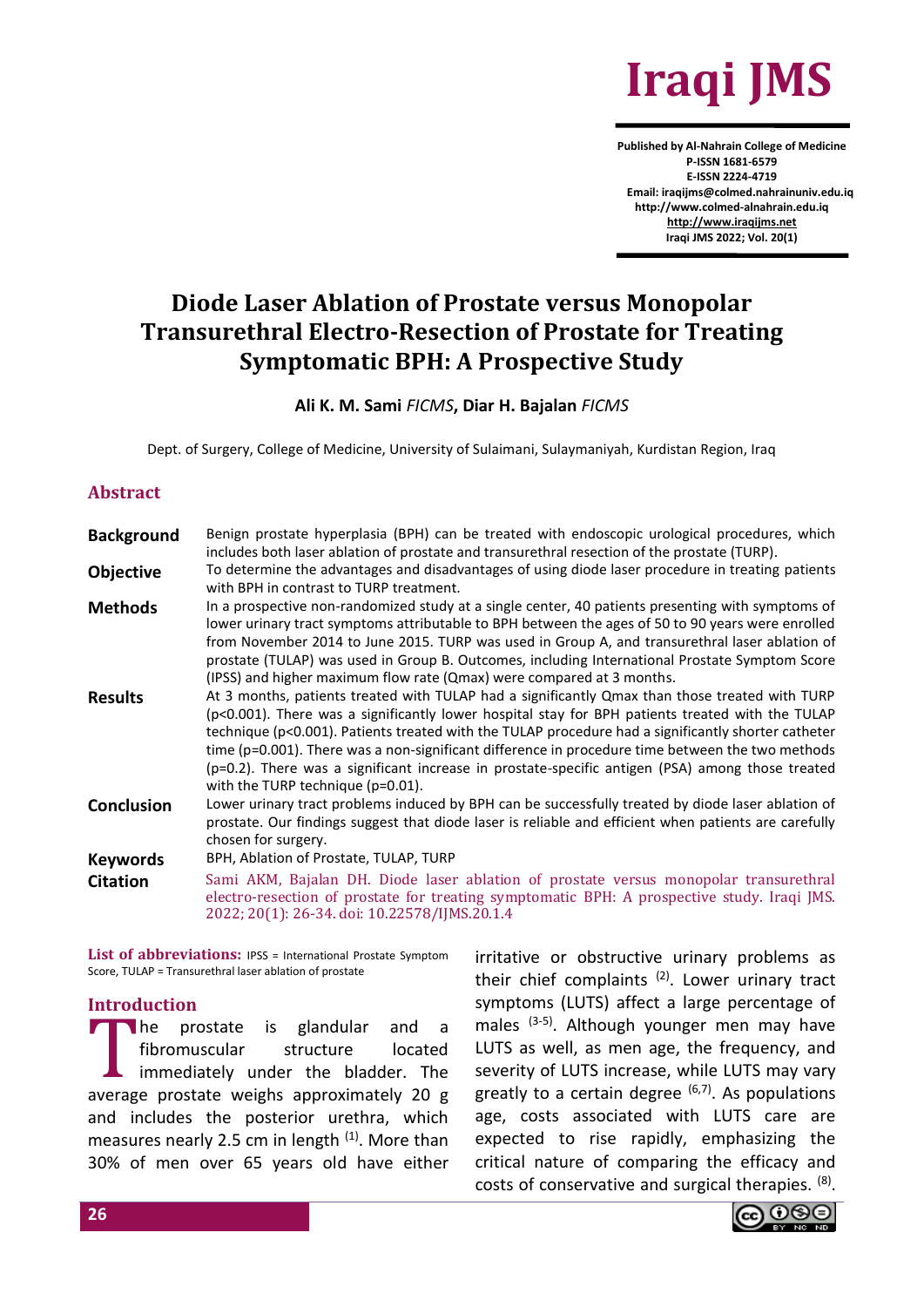

**Published by Al-Nahrain College of Medicine P-ISSN 1681-6579 E-ISSN 2224-4719 Email: iraqijms@colmed.nahrainuniv.edu.iq http://www.colmed-alnahrain.edu.iq [http://www.iraqijms.net](http://www.iraqijms.net/) Iraqi JMS 2022; Vol. 20(1)**

# **Diode Laser Ablation of Prostate versus Monopolar Transurethral Electro-Resection of Prostate for Treating Symptomatic BPH: A Prospective Study**

#### **Ali K. M. Sami** *FICMS***, Diar H. Bajalan** *FICMS*

Dept. of Surgery, College of Medicine, University of Sulaimani, Sulaymaniyah, Kurdistan Region, Iraq

#### **Abstract**

| <b>Background</b> | Benign prostate hyperplasia (BPH) can be treated with endoscopic urological procedures, which<br>includes both laser ablation of prostate and transurethral resection of the prostate (TURP).                                                                                                                                                                                                                                                                                                                                                          |
|-------------------|--------------------------------------------------------------------------------------------------------------------------------------------------------------------------------------------------------------------------------------------------------------------------------------------------------------------------------------------------------------------------------------------------------------------------------------------------------------------------------------------------------------------------------------------------------|
| <b>Objective</b>  | To determine the advantages and disadvantages of using diode laser procedure in treating patients<br>with BPH in contrast to TURP treatment.                                                                                                                                                                                                                                                                                                                                                                                                           |
| <b>Methods</b>    | In a prospective non-randomized study at a single center, 40 patients presenting with symptoms of<br>lower urinary tract symptoms attributable to BPH between the ages of 50 to 90 years were enrolled<br>from November 2014 to June 2015. TURP was used in Group A, and transurethral laser ablation of<br>prostate (TULAP) was used in Group B. Outcomes, including International Prostate Symptom Score<br>(IPSS) and higher maximum flow rate (Qmax) were compared at 3 months.                                                                    |
| <b>Results</b>    | At 3 months, patients treated with TULAP had a significantly Qmax than those treated with TURP<br>(p<0.001). There was a significantly lower hospital stay for BPH patients treated with the TULAP<br>technique (p<0.001). Patients treated with the TULAP procedure had a significantly shorter catheter<br>time (p=0.001). There was a non-significant difference in procedure time between the two methods<br>(p=0.2). There was a significant increase in prostate-specific antigen (PSA) among those treated<br>with the TURP technique (p=0.01). |
| <b>Conclusion</b> | Lower urinary tract problems induced by BPH can be successfully treated by diode laser ablation of<br>prostate. Our findings suggest that diode laser is reliable and efficient when patients are carefully<br>chosen for surgery.                                                                                                                                                                                                                                                                                                                     |
| <b>Keywords</b>   | BPH, Ablation of Prostate, TULAP, TURP                                                                                                                                                                                                                                                                                                                                                                                                                                                                                                                 |
| <b>Citation</b>   | Sami AKM, Bajalan DH. Diode laser ablation of prostate versus monopolar transurethral<br>electro-resection of prostate for treating symptomatic BPH: A prospective study. Iraqi JMS.<br>2022; 20(1): 26-34. doi: 10.22578/IJMS.20.1.4                                                                                                                                                                                                                                                                                                                  |

List of abbreviations: IPSS = International Prostate Symptom Score, TULAP = Transurethral laser ablation of prostate

## **Introduction**

he prostate is glandular and a fibromuscular structure located immediately under the bladder. The The prostate is glandular and a fibromuscular structure located immediately under the bladder. The average prostate weighs approximately 20 g and includes the posterior urethra, which measures nearly 2.5 cm in length  $(1)$ . More than 30% of men over 65 years old have either

irritative or obstructive urinary problems as their chief complaints  $(2)$ . Lower urinary tract symptoms (LUTS) affect a large percentage of males (3-5). Although younger men may have LUTS as well, as men age, the frequency, and severity of LUTS increase, while LUTS may vary greatly to a certain degree  $(6,7)$ . As populations age, costs associated with LUTS care are expected to rise rapidly, emphasizing the critical nature of comparing the efficacy and costs of conservative and surgical therapies. <sup>(8)</sup>.

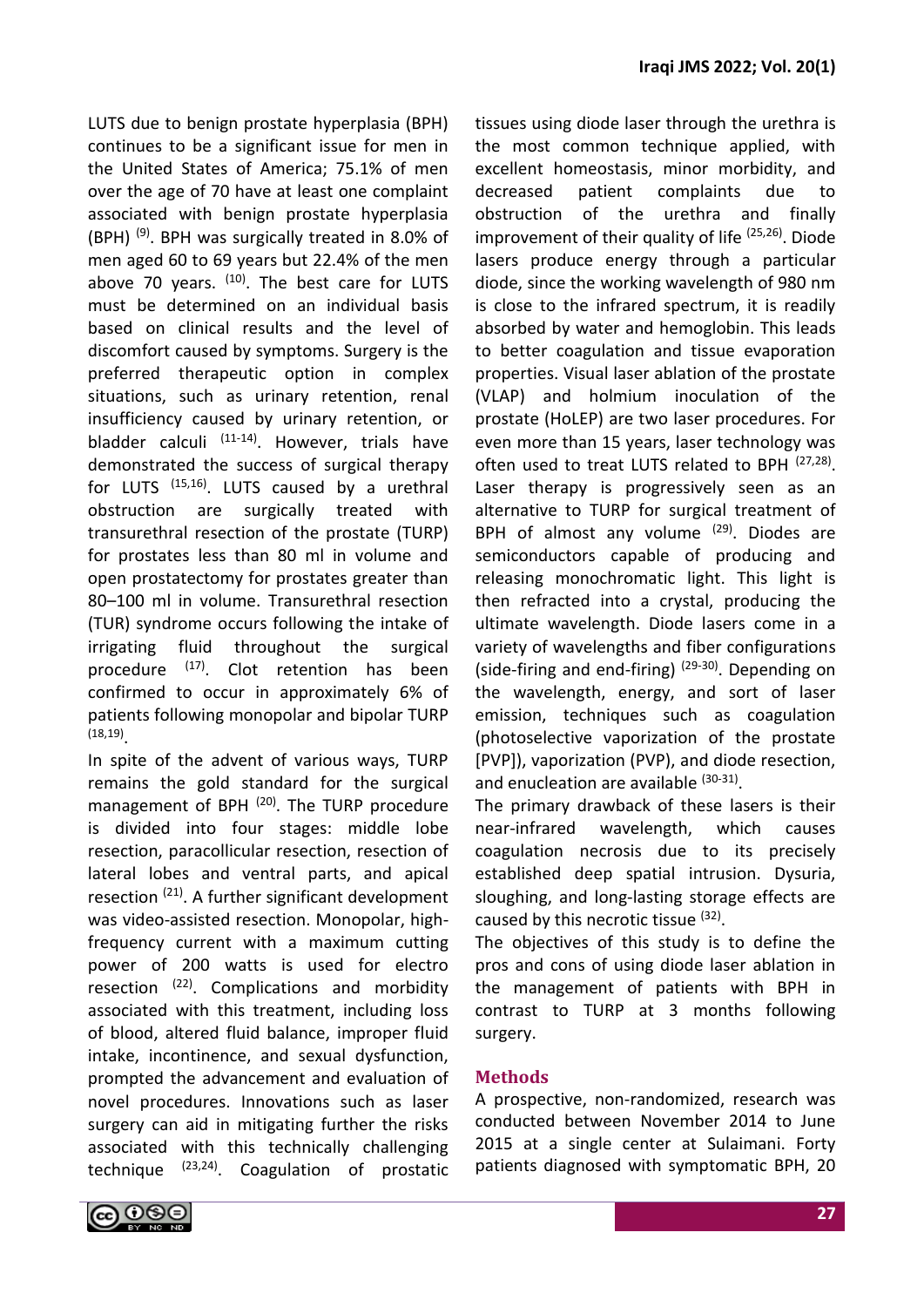LUTS due to benign prostate hyperplasia (BPH) continues to be a significant issue for men in the United States of America; 75.1% of men over the age of 70 have at least one complaint associated with benign prostate hyperplasia (BPH)  $^{(9)}$ . BPH was surgically treated in 8.0% of men aged 60 to 69 years but 22.4% of the men above 70 years.  $(10)$ . The best care for LUTS must be determined on an individual basis based on clinical results and the level of discomfort caused by symptoms. Surgery is the preferred therapeutic option in complex situations, such as urinary retention, renal insufficiency caused by urinary retention, or bladder calculi  $(11-14)$ . However, trials have demonstrated the success of surgical therapy for LUTS (15,16). LUTS caused by a urethral obstruction are surgically treated with transurethral resection of the prostate (TURP) for prostates less than 80 ml in volume and open prostatectomy for prostates greater than 80–100 ml in volume. Transurethral resection (TUR) syndrome occurs following the intake of irrigating fluid throughout the surgical procedure  $(17)$ . Clot retention has been confirmed to occur in approximately 6% of patients following monopolar and bipolar TURP (18,19) .

In spite of the advent of various ways, TURP remains the gold standard for the surgical management of BPH  $(20)$ . The TURP procedure is divided into four stages: middle lobe resection, paracollicular resection, resection of lateral lobes and ventral parts, and apical resection (21). A further significant development was video-assisted resection. Monopolar, highfrequency current with a maximum cutting power of 200 watts is used for electro resection  $(22)$ . Complications and morbidity associated with this treatment, including loss of blood, altered fluid balance, improper fluid intake, incontinence, and sexual dysfunction, prompted the advancement and evaluation of novel procedures. Innovations such as laser surgery can aid in mitigating further the risks associated with this technically challenging technique (23,24). Coagulation of prostatic tissues using diode laser through the urethra is the most common technique applied, with excellent homeostasis, minor morbidity, and decreased patient complaints due to obstruction of the urethra and finally improvement of their quality of life  $(25,26)$ . Diode lasers produce energy through a particular diode, since the working wavelength of 980 nm is close to the infrared spectrum, it is readily absorbed by water and hemoglobin. This leads to better coagulation and tissue evaporation properties. Visual laser ablation of the prostate (VLAP) and holmium inoculation of the prostate (HoLEP) are two laser procedures. For even more than 15 years, laser technology was often used to treat LUTS related to BPH <sup>(27,28)</sup>. Laser therapy is progressively seen as an alternative to TURP for surgical treatment of BPH of almost any volume  $(29)$ . Diodes are semiconductors capable of producing and releasing monochromatic light. This light is then refracted into a crystal, producing the ultimate wavelength. Diode lasers come in a variety of wavelengths and fiber configurations (side-firing and end-firing)<sup>(29-30)</sup>. Depending on the wavelength, energy, and sort of laser emission, techniques such as coagulation (photoselective vaporization of the prostate [PVP]), vaporization (PVP), and diode resection, and enucleation are available (30-31).

The primary drawback of these lasers is their near-infrared wavelength, which causes coagulation necrosis due to its precisely established deep spatial intrusion. Dysuria, sloughing, and long-lasting storage effects are caused by this necrotic tissue (32).

The objectives of this study is to define the pros and cons of using diode laser ablation in the management of patients with BPH in contrast to TURP at 3 months following surgery.

## **Methods**

A prospective, non-randomized, research was conducted between November 2014 to June 2015 at a single center at Sulaimani. Forty patients diagnosed with symptomatic BPH, 20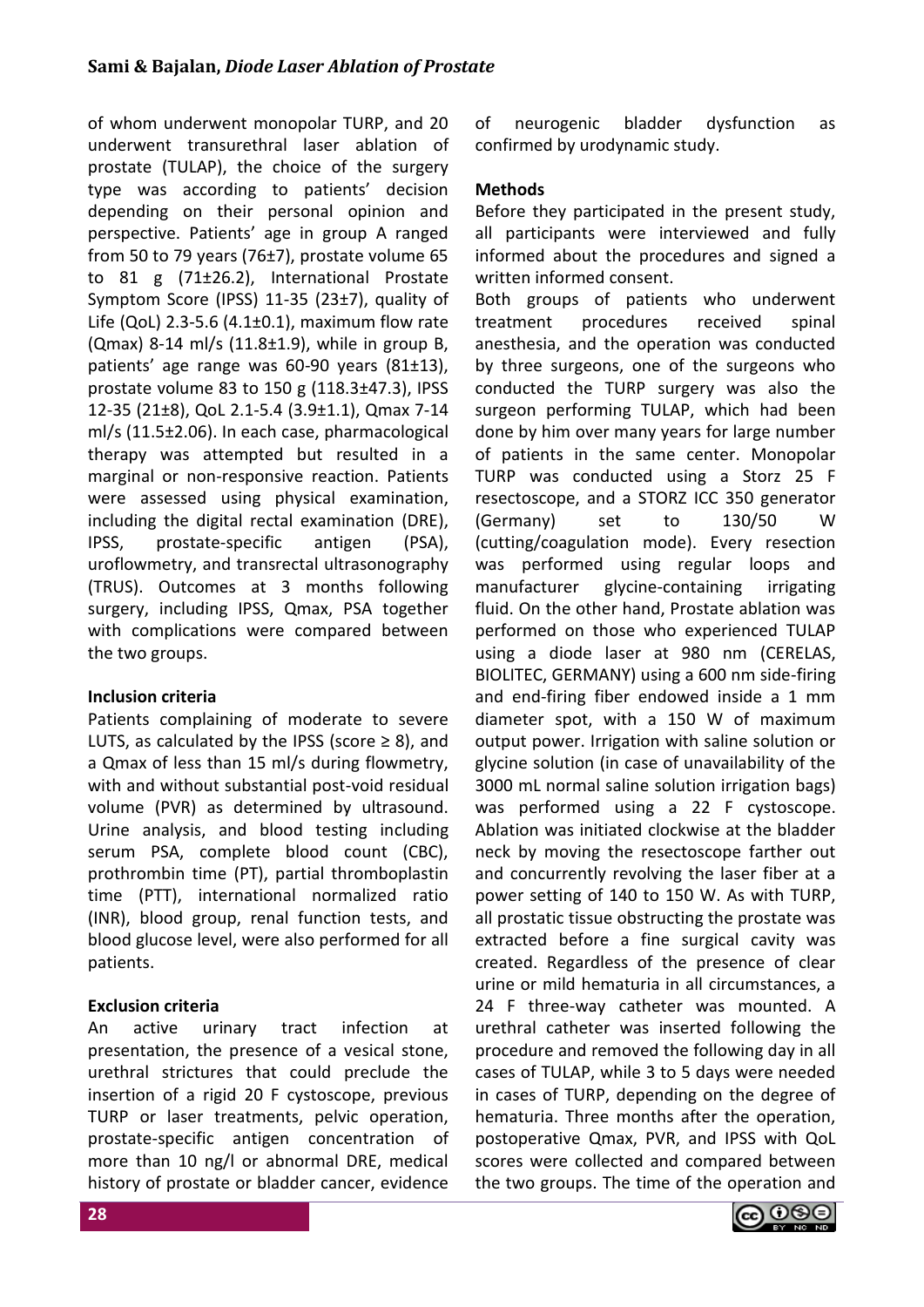of whom underwent monopolar TURP, and 20 underwent transurethral laser ablation of prostate (TULAP), the choice of the surgery type was according to patients' decision depending on their personal opinion and perspective. Patients' age in group A ranged from 50 to 79 years (76 $\pm$ 7), prostate volume 65 to 81 g (71±26.2), International Prostate Symptom Score (IPSS) 11-35 (23±7), quality of Life (QoL) 2.3-5.6 (4.1 $\pm$ 0.1), maximum flow rate (Qmax) 8-14 ml/s (11.8±1.9), while in group B, patients' age range was 60-90 years (81±13), prostate volume 83 to 150 g (118.3±47.3), IPSS 12-35 (21±8), QoL 2.1-5.4 (3.9±1.1), Qmax 7-14 ml/s (11.5±2.06). In each case, pharmacological therapy was attempted but resulted in a marginal or non-responsive reaction. Patients were assessed using physical examination, including the digital rectal examination (DRE), IPSS, prostate-specific antigen (PSA), uroflowmetry, and transrectal ultrasonography (TRUS). Outcomes at 3 months following surgery, including IPSS, Qmax, PSA together with complications were compared between the two groups.

# **Inclusion criteria**

Patients complaining of moderate to severe LUTS, as calculated by the IPSS (score  $\geq$  8), and a Qmax of less than 15 ml/s during flowmetry, with and without substantial post-void residual volume (PVR) as determined by ultrasound. Urine analysis, and blood testing including serum PSA, complete blood count (CBC), prothrombin time (PT), partial thromboplastin time (PTT), international normalized ratio (INR), blood group, renal function tests, and blood glucose level, were also performed for all patients.

# **Exclusion criteria**

An active urinary tract infection at presentation, the presence of a vesical stone, urethral strictures that could preclude the insertion of a rigid 20 F cystoscope, previous TURP or laser treatments, pelvic operation, prostate-specific antigen concentration of more than 10 ng/l or abnormal DRE, medical history of prostate or bladder cancer, evidence of neurogenic bladder dysfunction as confirmed by urodynamic study.

# **Methods**

Before they participated in the present study, all participants were interviewed and fully informed about the procedures and signed a written informed consent.

Both groups of patients who underwent treatment procedures received spinal anesthesia, and the operation was conducted by three surgeons, one of the surgeons who conducted the TURP surgery was also the surgeon performing TULAP, which had been done by him over many years for large number of patients in the same center. Monopolar TURP was conducted using a Storz 25 F resectoscope, and a STORZ ICC 350 generator (Germany) set to 130/50 W (cutting/coagulation mode). Every resection was performed using regular loops and manufacturer glycine-containing irrigating fluid. On the other hand, Prostate ablation was performed on those who experienced TULAP using a diode laser at 980 nm (CERELAS, BIOLITEC, GERMANY) using a 600 nm side-firing and end-firing fiber endowed inside a 1 mm diameter spot, with a 150 W of maximum output power. Irrigation with saline solution or glycine solution (in case of unavailability of the 3000 mL normal saline solution irrigation bags) was performed using a 22 F cystoscope. Ablation was initiated clockwise at the bladder neck by moving the resectoscope farther out and concurrently revolving the laser fiber at a power setting of 140 to 150 W. As with TURP, all prostatic tissue obstructing the prostate was extracted before a fine surgical cavity was created. Regardless of the presence of clear urine or mild hematuria in all circumstances, a 24 F three-way catheter was mounted. A urethral catheter was inserted following the procedure and removed the following day in all cases of TULAP, while 3 to 5 days were needed in cases of TURP, depending on the degree of hematuria. Three months after the operation, postoperative Qmax, PVR, and IPSS with QoL scores were collected and compared between the two groups. The time of the operation and

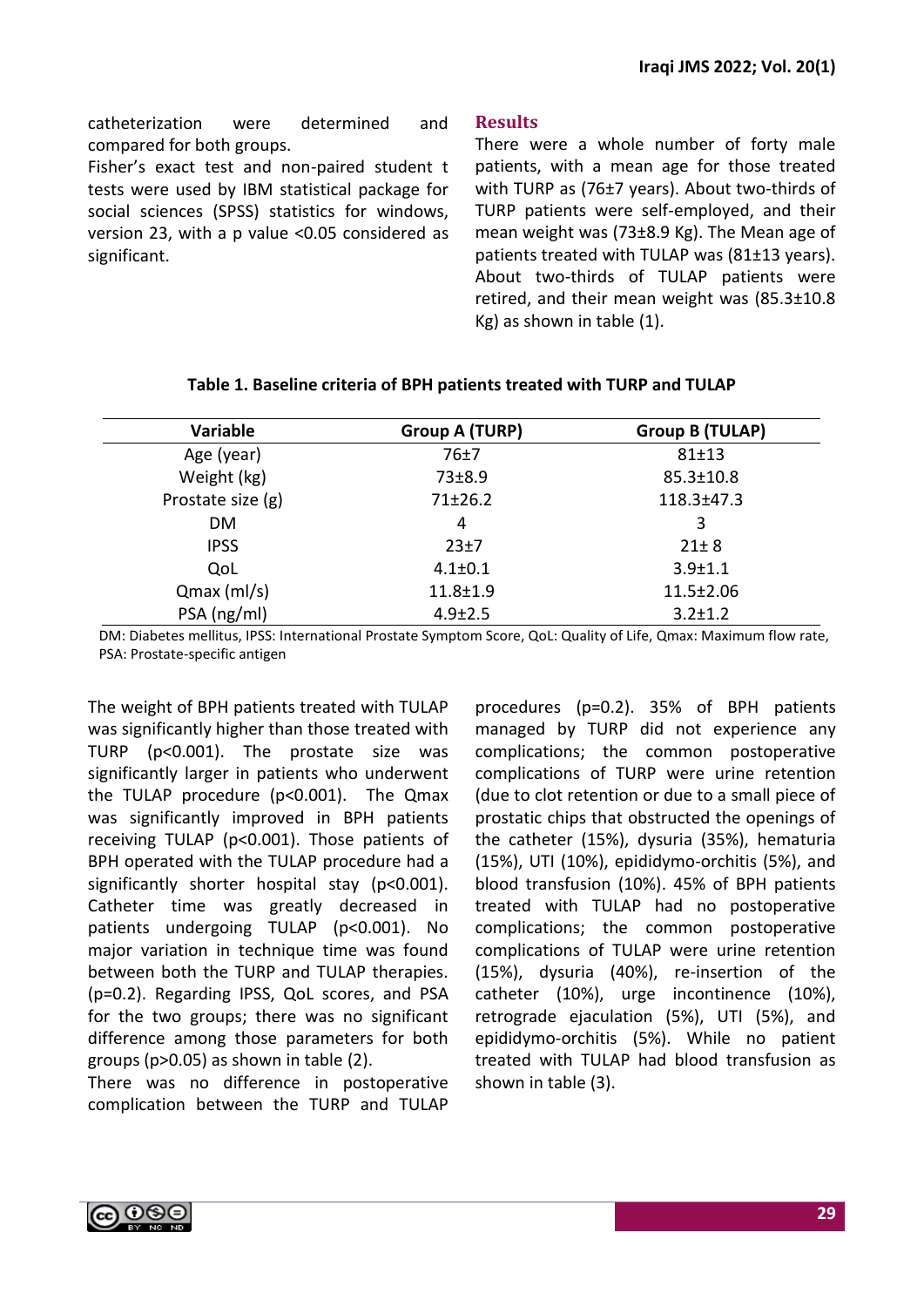catheterization were determined and compared for both groups.

Fisher's exact test and non-paired student t tests were used by IBM statistical package for social sciences (SPSS) statistics for windows, version 23, with a p value <0.05 considered as significant.

## **Results**

There were a whole number of forty male patients, with a mean age for those treated with TURP as (76±7 years). About two-thirds of TURP patients were self-employed, and their mean weight was (73±8.9 Kg). The Mean age of patients treated with TULAP was (81±13 years). About two-thirds of TULAP patients were retired, and their mean weight was (85.3±10.8 Kg) as shown in table (1).

| Variable          | <b>Group A (TURP)</b> | <b>Group B (TULAP)</b> |  |
|-------------------|-----------------------|------------------------|--|
| Age (year)        | 76±7                  | $81 + 13$              |  |
| Weight (kg)       | 73±8.9                | $85.3 \pm 10.8$        |  |
| Prostate size (g) | 71±26.2               | $118.3 \pm 47.3$       |  |
| <b>DM</b>         | 4                     | 3                      |  |
| <b>IPSS</b>       | 23±7                  | $21 \pm 8$             |  |
| QoL               | $4.1 \pm 0.1$         | $3.9 + 1.1$            |  |
| $Qmax$ (ml/s)     | $11.8 \pm 1.9$        | $11.5 \pm 2.06$        |  |
| PSA (ng/ml)       | $4.9 \pm 2.5$         | $3.2 \pm 1.2$          |  |

## **Table 1. Baseline criteria of BPH patients treated with TURP and TULAP**

DM: Diabetes mellitus, IPSS: International Prostate Symptom Score, QoL: Quality of Life, Qmax: Maximum flow rate, PSA: Prostate-specific antigen

The weight of BPH patients treated with TULAP was significantly higher than those treated with TURP (p<0.001). The prostate size was significantly larger in patients who underwent the TULAP procedure (p<0.001). The Qmax was significantly improved in BPH patients receiving TULAP (p<0.001). Those patients of BPH operated with the TULAP procedure had a significantly shorter hospital stay (p<0.001). Catheter time was greatly decreased in patients undergoing TULAP (p<0.001). No major variation in technique time was found between both the TURP and TULAP therapies. (p=0.2). Regarding IPSS, QoL scores, and PSA for the two groups; there was no significant difference among those parameters for both groups (p>0.05) as shown in table (2).

There was no difference in postoperative complication between the TURP and TULAP

procedures (p=0.2). 35% of BPH patients managed by TURP did not experience any complications; the common postoperative complications of TURP were urine retention (due to clot retention or due to a small piece of prostatic chips that obstructed the openings of the catheter (15%), dysuria (35%), hematuria (15%), UTI (10%), epididymo-orchitis (5%), and blood transfusion (10%). 45% of BPH patients treated with TULAP had no postoperative complications; the common postoperative complications of TULAP were urine retention (15%), dysuria (40%), re-insertion of the catheter (10%), urge incontinence (10%), retrograde ejaculation (5%), UTI (5%), and epididymo-orchitis (5%). While no patient treated with TULAP had blood transfusion as shown in table (3).

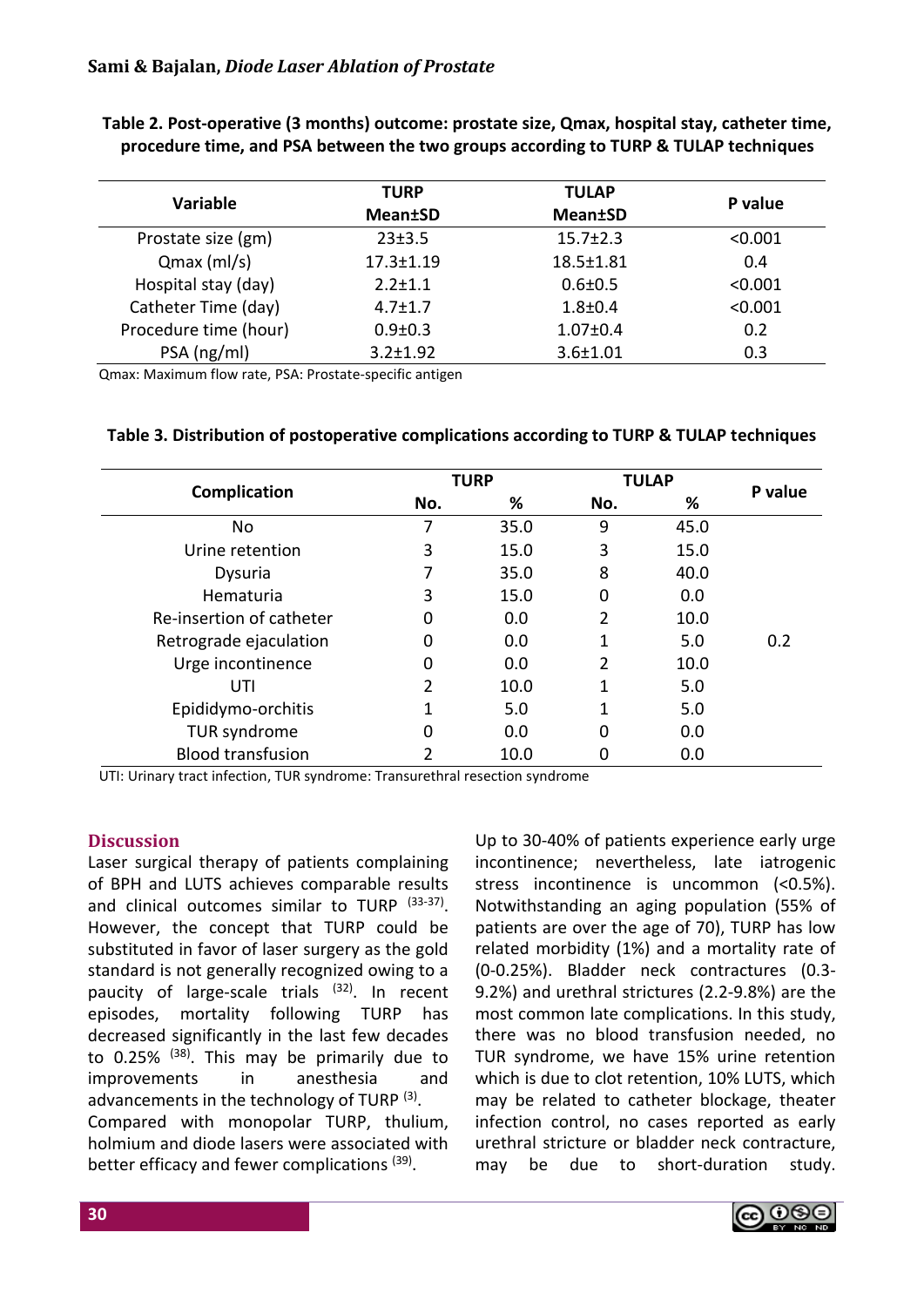|                       | <b>TULAP</b><br><b>TURP</b> |                 |         |  |
|-----------------------|-----------------------------|-----------------|---------|--|
| <b>Variable</b>       | <b>Mean±SD</b>              | <b>Mean±SD</b>  | P value |  |
| Prostate size (gm)    | 23±3.5                      | $15.7 \pm 2.3$  | < 0.001 |  |
| $Qmax$ (ml/s)         | $17.3 \pm 1.19$             | $18.5 \pm 1.81$ | 0.4     |  |
| Hospital stay (day)   | $2.2 \pm 1.1$               | $0.6 \pm 0.5$   | < 0.001 |  |
| Catheter Time (day)   | $4.7 \pm 1.7$               | $1.8 + 0.4$     | < 0.001 |  |
| Procedure time (hour) | $0.9 \pm 0.3$               | $1.07 \pm 0.4$  | 0.2     |  |
| PSA (ng/ml)           | $3.2 \pm 1.92$              | $3.6 \pm 1.01$  | 0.3     |  |

**Table 2. Post-operative (3 months) outcome: prostate size, Qmax, hospital stay, catheter time, procedure time, and PSA between the two groups according to TURP & TULAP techniques**

Qmax: Maximum flow rate, PSA: Prostate-specific antigen

#### **Table 3. Distribution of postoperative complications according to TURP & TULAP techniques**

|                          | <b>TURP</b> |      | <b>TULAP</b> |      |         |
|--------------------------|-------------|------|--------------|------|---------|
| Complication             | No.         | %    | No.          | %    | P value |
| No                       | 7           | 35.0 | 9            | 45.0 |         |
| Urine retention          | 3           | 15.0 | 3            | 15.0 |         |
| Dysuria                  |             | 35.0 | 8            | 40.0 |         |
| Hematuria                | 3           | 15.0 | 0            | 0.0  |         |
| Re-insertion of catheter | 0           | 0.0  | 2            | 10.0 |         |
| Retrograde ejaculation   | 0           | 0.0  | 1            | 5.0  | 0.2     |
| Urge incontinence        | 0           | 0.0  | 2            | 10.0 |         |
| UTI                      | 2           | 10.0 | 1            | 5.0  |         |
| Epididymo-orchitis       |             | 5.0  | 1            | 5.0  |         |
| TUR syndrome             | Ω           | 0.0  | 0            | 0.0  |         |
| <b>Blood transfusion</b> |             | 10.0 |              | 0.0  |         |

UTI: Urinary tract infection, TUR syndrome: Transurethral resection syndrome

## **Discussion**

Laser surgical therapy of patients complaining of BPH and LUTS achieves comparable results and clinical outcomes similar to TURP (33-37). However, the concept that TURP could be substituted in favor of laser surgery as the gold standard is not generally recognized owing to a paucity of large-scale trials (32). In recent episodes, mortality following TURP has decreased significantly in the last few decades to 0.25% <sup>(38)</sup>. This may be primarily due to improvements in anesthesia and advancements in the technology of TURP<sup>(3)</sup>. Compared with monopolar TURP, thulium, holmium and diode lasers were associated with better efficacy and fewer complications (39).

Up to 30-40% of patients experience early urge incontinence; nevertheless, late iatrogenic stress incontinence is uncommon (<0.5%). Notwithstanding an aging population (55% of patients are over the age of 70), TURP has low related morbidity (1%) and a mortality rate of (0-0.25%). Bladder neck contractures (0.3- 9.2%) and urethral strictures (2.2-9.8%) are the most common late complications. In this study, there was no blood transfusion needed, no TUR syndrome, we have 15% urine retention which is due to clot retention, 10% LUTS, which may be related to catheter blockage, theater infection control, no cases reported as early urethral stricture or bladder neck contracture, may be due to short-duration study.

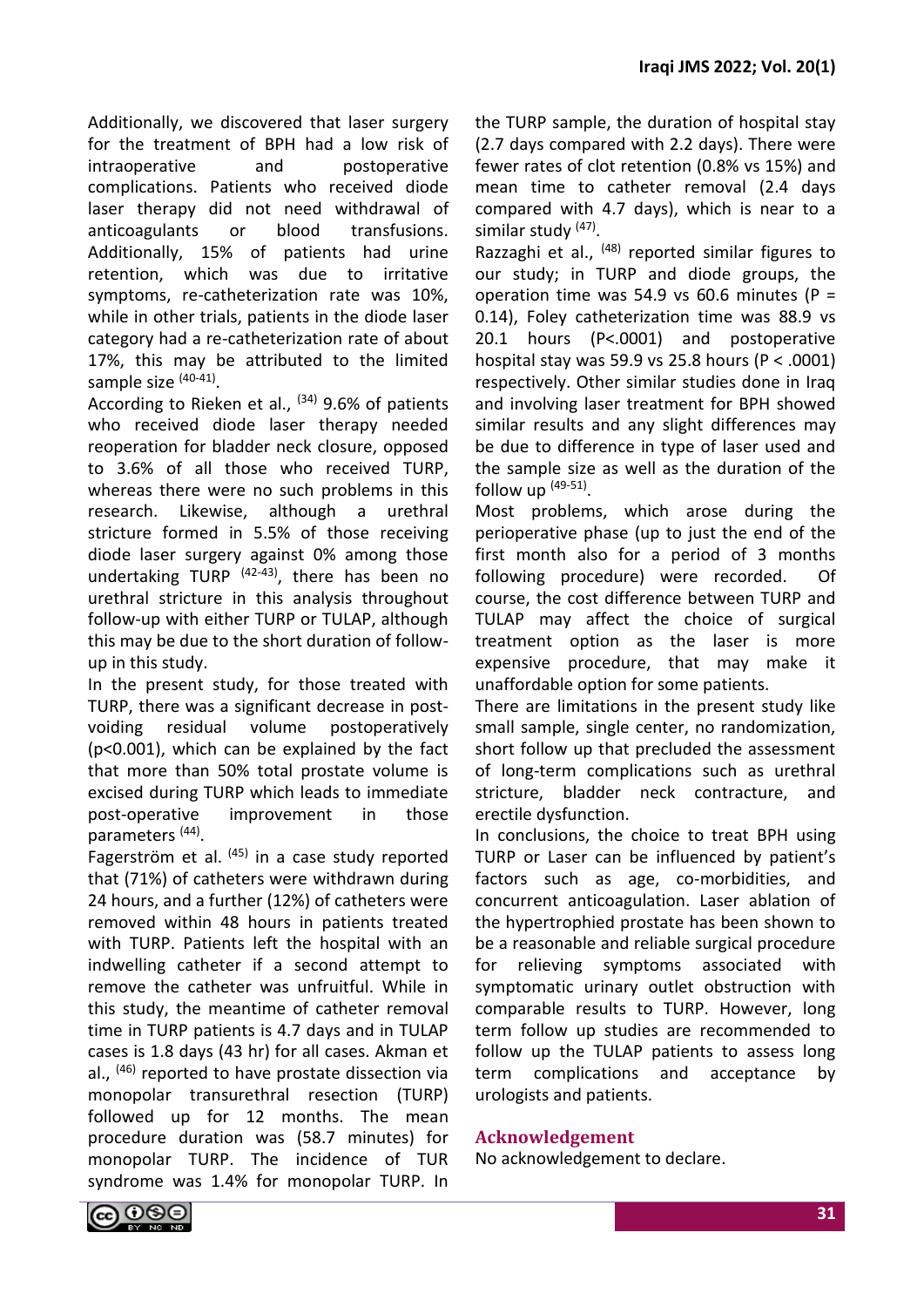Additionally, we discovered that laser surgery for the treatment of BPH had a low risk of intraoperative and postoperative complications. Patients who received diode laser therapy did not need withdrawal of anticoagulants or blood transfusions. Additionally, 15% of patients had urine retention, which was due to irritative symptoms, re-catheterization rate was 10%, while in other trials, patients in the diode laser category had a re-catheterization rate of about 17%, this may be attributed to the limited sample size <sup>(40-41)</sup>.

According to Rieken et al.,  $(34)$  9.6% of patients who received diode laser therapy needed reoperation for bladder neck closure, opposed to 3.6% of all those who received TURP, whereas there were no such problems in this research. Likewise, although a urethral stricture formed in 5.5% of those receiving diode laser surgery against 0% among those undertaking TURP<sup> (42-43)</sup>, there has been no urethral stricture in this analysis throughout follow-up with either TURP or TULAP, although this may be due to the short duration of followup in this study.

In the present study, for those treated with TURP, there was a significant decrease in postvoiding residual volume postoperatively (p<0.001), which can be explained by the fact that more than 50% total prostate volume is excised during TURP which leads to immediate post-operative improvement in those parameters<sup>(44)</sup>.

Fagerström et al.  $(45)$  in a case study reported that (71%) of catheters were withdrawn during 24 hours, and a further (12%) of catheters were removed within 48 hours in patients treated with TURP. Patients left the hospital with an indwelling catheter if a second attempt to remove the catheter was unfruitful. While in this study, the meantime of catheter removal time in TURP patients is 4.7 days and in TULAP cases is 1.8 days (43 hr) for all cases. Akman et al., (46) reported to have prostate dissection via monopolar transurethral resection (TURP) followed up for 12 months. The mean procedure duration was (58.7 minutes) for monopolar TURP. The incidence of TUR syndrome was 1.4% for monopolar TURP. In the TURP sample, the duration of hospital stay (2.7 days compared with 2.2 days). There were fewer rates of clot retention (0.8% vs 15%) and mean time to catheter removal (2.4 days compared with 4.7 days), which is near to a similar study <sup>(47)</sup>.

Razzaghi et al., <sup>(48)</sup> reported similar figures to our study; in TURP and diode groups, the operation time was 54.9 vs 60.6 minutes ( $P =$ 0.14), Foley catheterization time was 88.9 vs 20.1 hours (P<.0001) and postoperative hospital stay was 59.9 vs 25.8 hours ( $P < .0001$ ) respectively. Other similar studies done in Iraq and involving laser treatment for BPH showed similar results and any slight differences may be due to difference in type of laser used and the sample size as well as the duration of the follow up  $(49-51)$ .

Most problems, which arose during the perioperative phase (up to just the end of the first month also for a period of 3 months following procedure) were recorded. Of course, the cost difference between TURP and TULAP may affect the choice of surgical treatment option as the laser is more expensive procedure, that may make it unaffordable option for some patients.

There are limitations in the present study like small sample, single center, no randomization, short follow up that precluded the assessment of long-term complications such as urethral stricture, bladder neck contracture, and erectile dysfunction.

In conclusions, the choice to treat BPH using TURP or Laser can be influenced by patient's factors such as age, co-morbidities, and concurrent anticoagulation. Laser ablation of the hypertrophied prostate has been shown to be a reasonable and reliable surgical procedure for relieving symptoms associated with symptomatic urinary outlet obstruction with comparable results to TURP. However, long term follow up studies are recommended to follow up the TULAP patients to assess long term complications and acceptance by urologists and patients.

## **Acknowledgement**

No acknowledgement to declare.

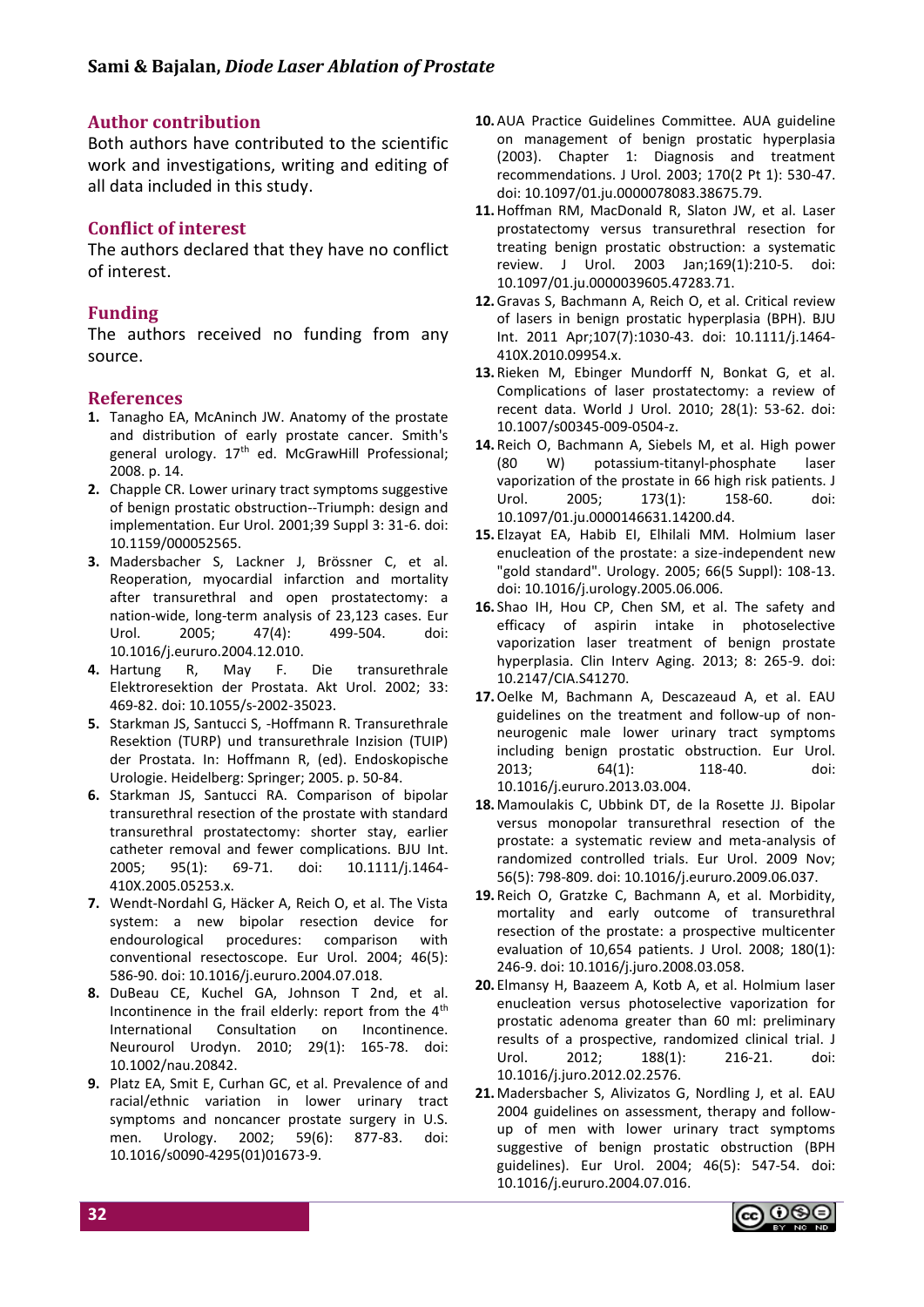## **Author contribution**

Both authors have contributed to the scientific work and investigations, writing and editing of all data included in this study.

## **Conflict of interest**

The authors declared that they have no conflict of interest.

# **Funding**

The authors received no funding from any source.

## **References**

- **1.** Tanagho EA, McAninch JW. Anatomy of the prostate and distribution of early prostate cancer. Smith's general urology. 17<sup>th</sup> ed. McGrawHill Professional; 2008. p. 14.
- **2.** Chapple CR. Lower urinary tract symptoms suggestive of benign prostatic obstruction--Triumph: design and implementation. Eur Urol. 2001;39 Suppl 3: 31-6. doi: 10.1159/000052565.
- **3.** Madersbacher S, Lackner J, Brössner C, et al. Reoperation, myocardial infarction and mortality after transurethral and open prostatectomy: a nation-wide, long-term analysis of 23,123 cases. Eur Urol. 2005; 47(4): 499-504. doi: 10.1016/j.eururo.2004.12.010.
- **4.** Hartung R, May F. Die transurethrale Elektroresektion der Prostata. Akt Urol. 2002; 33: 469-82. doi: 10.1055/s-2002-35023.
- **5.** Starkman JS, Santucci S, -Hoffmann R. Transurethrale Resektion (TURP) und transurethrale Inzision (TUIP) der Prostata. In: Hoffmann R, (ed). Endoskopische Urologie. Heidelberg: Springer; 2005. p. 50-84.
- **6.** Starkman JS, Santucci RA. Comparison of bipolar transurethral resection of the prostate with standard transurethral prostatectomy: shorter stay, earlier catheter removal and fewer complications. BJU Int. 2005; 95(1): 69-71. doi: 10.1111/j.1464- 410X.2005.05253.x.
- **7.** Wendt-Nordahl G, Häcker A, Reich O, et al. The Vista system: a new bipolar resection device for endourological procedures: comparison with conventional resectoscope. Eur Urol. 2004; 46(5): 586-90. doi: 10.1016/j.eururo.2004.07.018.
- **8.** DuBeau CE, Kuchel GA, Johnson T 2nd, et al. Incontinence in the frail elderly: report from the 4<sup>th</sup> International Consultation on Incontinence. Neurourol Urodyn. 2010; 29(1): 165-78. doi: 10.1002/nau.20842.
- **9.** Platz EA, Smit E, Curhan GC, et al. Prevalence of and racial/ethnic variation in lower urinary tract symptoms and noncancer prostate surgery in U.S. men. Urology. 2002; 59(6): 877-83. doi: 10.1016/s0090-4295(01)01673-9.
- **10.**AUA Practice Guidelines Committee. AUA guideline on management of benign prostatic hyperplasia (2003). Chapter 1: Diagnosis and treatment recommendations. J Urol. 2003; 170(2 Pt 1): 530-47. doi: 10.1097/01.ju.0000078083.38675.79.
- **11.**Hoffman RM, MacDonald R, Slaton JW, et al. Laser prostatectomy versus transurethral resection for treating benign prostatic obstruction: a systematic review. J Urol. 2003 Jan;169(1):210-5. doi: 10.1097/01.ju.0000039605.47283.71.
- **12.**Gravas S, Bachmann A, Reich O, et al. Critical review of lasers in benign prostatic hyperplasia (BPH). BJU Int. 2011 Apr;107(7):1030-43. doi: 10.1111/j.1464- 410X.2010.09954.x.
- **13.** Rieken M, Ebinger Mundorff N, Bonkat G, et al. Complications of laser prostatectomy: a review of recent data. World J Urol. 2010; 28(1): 53-62. doi: 10.1007/s00345-009-0504-z.
- **14.** Reich O, Bachmann A, Siebels M, et al. High power (80 W) potassium-titanyl-phosphate laser vaporization of the prostate in 66 high risk patients. J Urol. 2005; 173(1): 158-60. doi: 10.1097/01.ju.0000146631.14200.d4.
- **15.** Elzayat EA, Habib EI, Elhilali MM. Holmium laser enucleation of the prostate: a size-independent new "gold standard". Urology. 2005; 66(5 Suppl): 108-13. doi: 10.1016/j.urology.2005.06.006.
- **16.** Shao IH, Hou CP, Chen SM, et al. The safety and efficacy of aspirin intake in photoselective vaporization laser treatment of benign prostate hyperplasia. Clin Interv Aging. 2013; 8: 265-9. doi: 10.2147/CIA.S41270.
- **17.**Oelke M, Bachmann A, Descazeaud A, et al. EAU guidelines on the treatment and follow-up of nonneurogenic male lower urinary tract symptoms including benign prostatic obstruction. Eur Urol. 2013; 64(1): 118-40. doi: 10.1016/j.eururo.2013.03.004.
- **18.** Mamoulakis C, Ubbink DT, de la Rosette JJ. Bipolar versus monopolar transurethral resection of the prostate: a systematic review and meta-analysis of randomized controlled trials. Eur Urol. 2009 Nov; 56(5): 798-809. doi: 10.1016/j.eururo.2009.06.037.
- **19.** Reich O, Gratzke C, Bachmann A, et al. Morbidity, mortality and early outcome of transurethral resection of the prostate: a prospective multicenter evaluation of 10,654 patients. J Urol. 2008; 180(1): 246-9. doi: 10.1016/j.juro.2008.03.058.
- **20.** Elmansy H, Baazeem A, Kotb A, et al. Holmium laser enucleation versus photoselective vaporization for prostatic adenoma greater than 60 ml: preliminary results of a prospective, randomized clinical trial. J Urol. 2012; 188(1): 216-21. doi: 10.1016/j.juro.2012.02.2576.
- **21.** Madersbacher S, Alivizatos G, Nordling J, et al. EAU 2004 guidelines on assessment, therapy and followup of men with lower urinary tract symptoms suggestive of benign prostatic obstruction (BPH guidelines). Eur Urol. 2004; 46(5): 547-54. doi: 10.1016/j.eururo.2004.07.016.

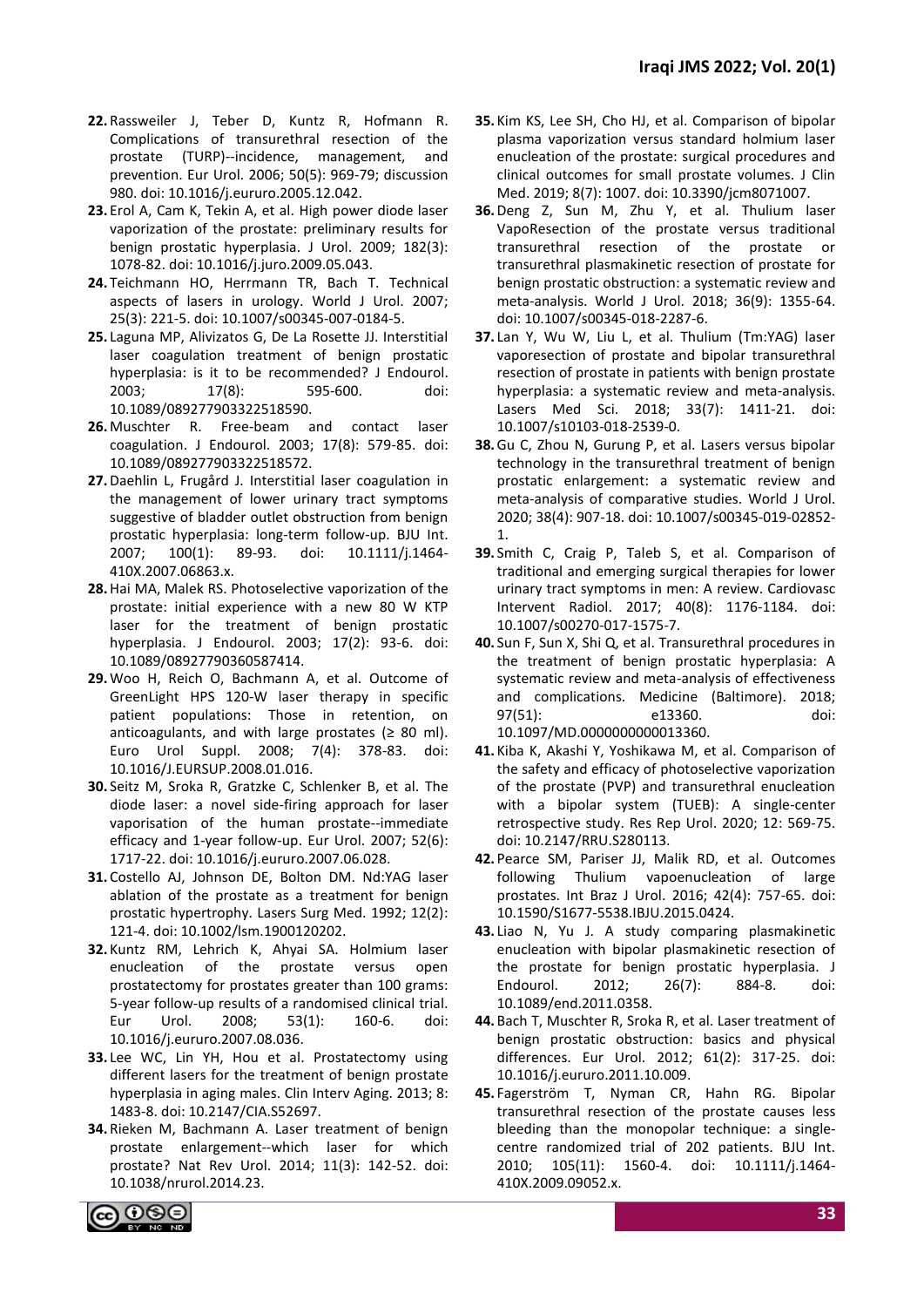- **22.** Rassweiler J, Teber D, Kuntz R, Hofmann R. Complications of transurethral resection of the prostate (TURP)--incidence, management, and prevention. Eur Urol. 2006; 50(5): 969-79; discussion 980. doi: 10.1016/j.eururo.2005.12.042.
- **23.** Erol A, Cam K, Tekin A, et al. High power diode laser vaporization of the prostate: preliminary results for benign prostatic hyperplasia. J Urol. 2009; 182(3): 1078-82. doi: 10.1016/j.juro.2009.05.043.
- **24.** Teichmann HO, Herrmann TR, Bach T. Technical aspects of lasers in urology. World J Urol. 2007; 25(3): 221-5. doi: 10.1007/s00345-007-0184-5.
- **25.** Laguna MP, Alivizatos G, De La Rosette JJ. Interstitial laser coagulation treatment of benign prostatic hyperplasia: is it to be recommended? J Endourol. 2003; 17(8): 595-600. doi: 10.1089/089277903322518590.
- **26.** Muschter R. Free-beam and contact laser coagulation. J Endourol. 2003; 17(8): 579-85. doi: 10.1089/089277903322518572.
- **27.**Daehlin L, Frugård J. Interstitial laser coagulation in the management of lower urinary tract symptoms suggestive of bladder outlet obstruction from benign prostatic hyperplasia: long-term follow-up. BJU Int. 2007; 100(1): 89-93. doi: 10.1111/j.1464- 410X.2007.06863.x.
- **28.**Hai MA, Malek RS. Photoselective vaporization of the prostate: initial experience with a new 80 W KTP laser for the treatment of benign prostatic hyperplasia. J Endourol. 2003; 17(2): 93-6. doi: 10.1089/08927790360587414.
- **29.**Woo H, Reich O, Bachmann A, et al. Outcome of GreenLight HPS 120-W laser therapy in specific patient populations: Those in retention, on anticoagulants, and with large prostates ( $\geq 80$  ml). Euro Urol Suppl. 2008; 7(4): 378-83. doi: 10.1016/J.EURSUP.2008.01.016.
- **30.** Seitz M, Sroka R, Gratzke C, Schlenker B, et al. The diode laser: a novel side-firing approach for laser vaporisation of the human prostate--immediate efficacy and 1-year follow-up. Eur Urol. 2007; 52(6): 1717-22. doi: 10.1016/j.eururo.2007.06.028.
- **31.** Costello AJ, Johnson DE, Bolton DM. Nd:YAG laser ablation of the prostate as a treatment for benign prostatic hypertrophy. Lasers Surg Med. 1992; 12(2): 121-4. doi: 10.1002/lsm.1900120202.
- **32.** Kuntz RM, Lehrich K, Ahyai SA. Holmium laser enucleation of the prostate versus open prostatectomy for prostates greater than 100 grams: 5-year follow-up results of a randomised clinical trial. Eur Urol. 2008; 53(1): 160-6. doi: 10.1016/j.eururo.2007.08.036.
- **33.** Lee WC, Lin YH, Hou et al. Prostatectomy using different lasers for the treatment of benign prostate hyperplasia in aging males. Clin Interv Aging. 2013; 8: 1483-8. doi: 10.2147/CIA.S52697.
- **34.** Rieken M, Bachmann A. Laser treatment of benign prostate enlargement--which laser for which prostate? Nat Rev Urol. 2014; 11(3): 142-52. doi: 10.1038/nrurol.2014.23.
- **35.** Kim KS, Lee SH, Cho HJ, et al. Comparison of bipolar plasma vaporization versus standard holmium laser enucleation of the prostate: surgical procedures and clinical outcomes for small prostate volumes. J Clin Med. 2019; 8(7): 1007. doi: 10.3390/jcm8071007.
- **36.**Deng Z, Sun M, Zhu Y, et al. Thulium laser VapoResection of the prostate versus traditional transurethral resection of the prostate or transurethral plasmakinetic resection of prostate for benign prostatic obstruction: a systematic review and meta-analysis. World J Urol. 2018; 36(9): 1355-64. doi: 10.1007/s00345-018-2287-6.
- **37.** Lan Y, Wu W, Liu L, et al. Thulium (Tm:YAG) laser vaporesection of prostate and bipolar transurethral resection of prostate in patients with benign prostate hyperplasia: a systematic review and meta-analysis. Lasers Med Sci. 2018; 33(7): 1411-21. doi: 10.1007/s10103-018-2539-0.
- **38.**Gu C, Zhou N, Gurung P, et al. Lasers versus bipolar technology in the transurethral treatment of benign prostatic enlargement: a systematic review and meta-analysis of comparative studies. World J Urol. 2020; 38(4): 907-18. doi: 10.1007/s00345-019-02852- 1.
- **39.** Smith C, Craig P, Taleb S, et al. Comparison of traditional and emerging surgical therapies for lower urinary tract symptoms in men: A review. Cardiovasc Intervent Radiol. 2017; 40(8): 1176-1184. doi: 10.1007/s00270-017-1575-7.
- **40.** Sun F, Sun X, Shi Q, et al. Transurethral procedures in the treatment of benign prostatic hyperplasia: A systematic review and meta-analysis of effectiveness and complications. Medicine (Baltimore). 2018; 97(51): e13360. doi: 10.1097/MD.0000000000013360.
- **41.** Kiba K, Akashi Y, Yoshikawa M, et al. Comparison of the safety and efficacy of photoselective vaporization of the prostate (PVP) and transurethral enucleation with a bipolar system (TUEB): A single-center retrospective study. Res Rep Urol. 2020; 12: 569-75. doi: 10.2147/RRU.S280113.
- **42.** Pearce SM, Pariser JJ, Malik RD, et al. Outcomes following Thulium vapoenucleation of large prostates. Int Braz J Urol. 2016; 42(4): 757-65. doi: 10.1590/S1677-5538.IBJU.2015.0424.
- **43.** Liao N, Yu J. A study comparing plasmakinetic enucleation with bipolar plasmakinetic resection of the prostate for benign prostatic hyperplasia. J Endourol. 2012; 26(7): 884-8. doi: 10.1089/end.2011.0358.
- **44.** Bach T, Muschter R, Sroka R, et al. Laser treatment of benign prostatic obstruction: basics and physical differences. Eur Urol. 2012; 61(2): 317-25. doi: 10.1016/j.eururo.2011.10.009.
- **45.** Fagerström T, Nyman CR, Hahn RG. Bipolar transurethral resection of the prostate causes less bleeding than the monopolar technique: a singlecentre randomized trial of 202 patients. BJU Int. 2010; 105(11): 1560-4. doi: 10.1111/j.1464- 410X.2009.09052.x.